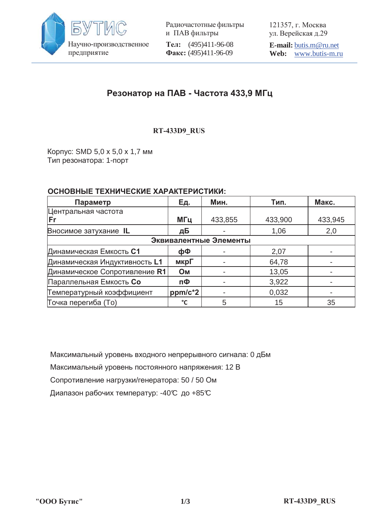

Радиочастотные фильтры и ПАВ фильтры **Тел:** (495)411-96-08 Факс: (495)411-96-09

121357, г. Москва ул. Верейская д.29

**E-mail:** butis.m@ru.net **Web:** www.butis-m.ru

# Резонатор на ПАВ - Частота 433,9 МГц

#### **5R+6&RPSOLDQW RT-433D9\_RUS**

Корпус: SMD 5,0 х 5,0 х 1,7 мм Тип резонатора: 1-порт

#### **ОСНОВНЫЕ ТЕХНИЧЕСКИЕ ХАРАКТЕРИСТИКИ:**

| Параметр                      | <b>Ед.</b> | Мин.    | Тип.    | Макс.   |
|-------------------------------|------------|---------|---------|---------|
| Центральная частота           |            |         |         |         |
| lFr                           | МГц        | 433,855 | 433,900 | 433,945 |
| Вносимое затухание IL         | дБ         |         | 1,06    | 2,0     |
| Эквивалентные Элементы        |            |         |         |         |
| Динамическая Емкость С1       | фФ         |         | 2,07    |         |
| Динамическая Индуктивность L1 | мкрГ       |         | 64,78   |         |
| Динамическое Сопротивление R1 | <b>OM</b>  |         | 13,05   |         |
| Параллельная Емкость Со       | пФ         |         | 3,922   |         |
| Температурный коэффициент     | $ppm/c*2$  |         | 0,032   |         |
| Точка перегиба (То)           | °C         | 5       | 15      | 35      |

Максимальный уровень входного непрерывного сигнала: 0 дБм Максимальный уровень постоянного напряжения: 12 В Сопротивление нагрузки/генератора: 50 / 50 Ом Диапазон рабочих температур: -40℃ до +85℃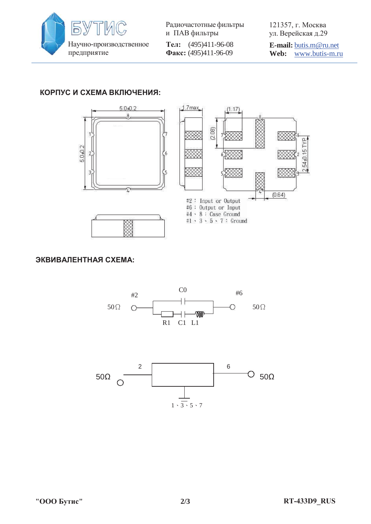

Радиочастотные фильтры и ПАВ фильтры **Тел:** (495)411-96-08 Факс: (495)411-96-09

121357, г. Москва ул. Верейская д.29

**E-mail:** butis.m@ru.net **Web:** www.butis-m.ru

## КОРПУС И СХЕМА ВКЛЮЧЕНИЯ:







#### ЭКВИВАЛЕНТНАЯ СХЕМА: